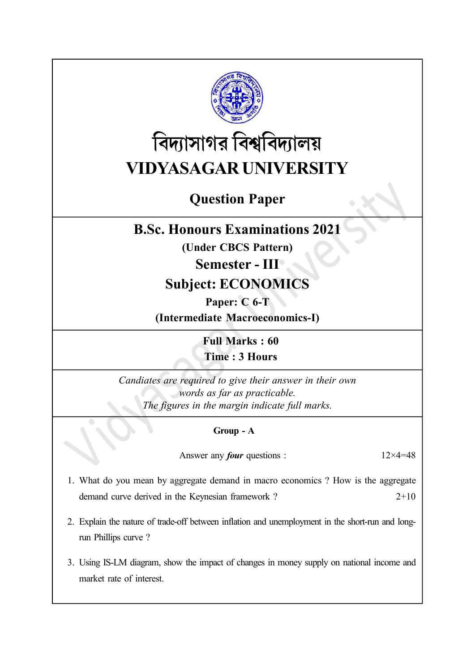

# বিদ্যাসাগর বিশ্ববিদ্যালয় VIDYASAGAR UNIVERSITY

# Question Paper

### B.Sc. Honours Examinations 2021

(Under CBCS Pattern)

### Semester - III

## Subject: ECONOMICS

#### Paper: C 6-T

(Intermediate Macroeconomics-I)

Full Marks : 60 Time : 3 Hours

Candiates are required to give their answer in their own words as far as practicable. The figures in the margin indicate full marks.

#### Group - A

Answer any *four* questions :  $12 \times 4 = 48$ 

- 1. What do you mean by aggregate demand in macro economics ? How is the aggregate demand curve derived in the Keynesian framework ? 2+10
- 2. Explain the nature of trade-off between inflation and unemployment in the short-run and longrun Phillips curve ?
- 3. Using IS-LM diagram, show the impact of changes in money supply on national income and market rate of interest.